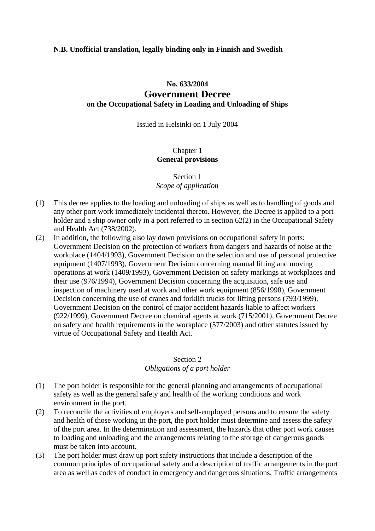#### **N.B. Unofficial translation, legally binding only in Finnish and Swedish**

# **No. 633/2004 Government Decree on the Occupational Safety in Loading and Unloading of Ships**

Issued in Helsinki on 1 July 2004

#### Chapter 1 **General provisions**

Section 1 *Scope of application* 

- (1) This decree applies to the loading and unloading of ships as well as to handling of goods and any other port work immediately incidental thereto. However, the Decree is applied to a port holder and a ship owner only in a port referred to in section 62(2) in the Occupational Safety and Health Act (738/2002).
- (2) In addition, the following also lay down provisions on occupational safety in ports: Government Decision on the protection of workers from dangers and hazards of noise at the workplace (1404/1993), Government Decision on the selection and use of personal protective equipment (1407/1993), Government Decision concerning manual lifting and moving operations at work (1409/1993), Government Decision on safety markings at workplaces and their use (976/1994), Government Decision concerning the acquisition, safe use and inspection of machinery used at work and other work equipment (856/1998), Government Decision concerning the use of cranes and forklift trucks for lifting persons (793/1999), Government Decision on the control of major accident hazards liable to affect workers (922/1999), Government Decree on chemical agents at work (715/2001), Government Decree on safety and health requirements in the workplace (577/2003) and other statutes issued by virtue of Occupational Safety and Health Act.

#### Section 2 *Obligations of a port holder*

- (1) The port holder is responsible for the general planning and arrangements of occupational safety as well as the general safety and health of the working conditions and work environment in the port.
- (2) To reconcile the activities of employers and self-employed persons and to ensure the safety and health of those working in the port, the port holder must determine and assess the safety of the port area. In the determination and assessment, the hazards that other port work causes to loading and unloading and the arrangements relating to the storage of dangerous goods must be taken into account.
- (3) The port holder must draw up port safety instructions that include a description of the common principles of occupational safety and a description of traffic arrangements in the port area as well as codes of conduct in emergency and dangerous situations. Traffic arrangements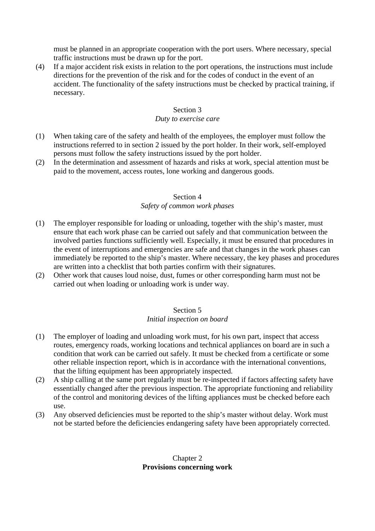must be planned in an appropriate cooperation with the port users. Where necessary, special traffic instructions must be drawn up for the port.

(4) If a major accident risk exists in relation to the port operations, the instructions must include directions for the prevention of the risk and for the codes of conduct in the event of an accident. The functionality of the safety instructions must be checked by practical training, if necessary.

#### Section 3 *Duty to exercise care*

- (1) When taking care of the safety and health of the employees, the employer must follow the instructions referred to in section 2 issued by the port holder. In their work, self-employed persons must follow the safety instructions issued by the port holder.
- (2) In the determination and assessment of hazards and risks at work, special attention must be paid to the movement, access routes, lone working and dangerous goods.

# Section 4

## *Safety of common work phases*

- (1) The employer responsible for loading or unloading, together with the ship's master, must ensure that each work phase can be carried out safely and that communication between the involved parties functions sufficiently well. Especially, it must be ensured that procedures in the event of interruptions and emergencies are safe and that changes in the work phases can immediately be reported to the ship's master. Where necessary, the key phases and procedures are written into a checklist that both parties confirm with their signatures.
- (2) Other work that causes loud noise, dust, fumes or other corresponding harm must not be carried out when loading or unloading work is under way.

#### Section 5 *Initial inspection on board*

- (1) The employer of loading and unloading work must, for his own part, inspect that access routes, emergency roads, working locations and technical appliances on board are in such a condition that work can be carried out safely. It must be checked from a certificate or some other reliable inspection report, which is in accordance with the international conventions, that the lifting equipment has been appropriately inspected.
- (2) A ship calling at the same port regularly must be re-inspected if factors affecting safety have essentially changed after the previous inspection. The appropriate functioning and reliability of the control and monitoring devices of the lifting appliances must be checked before each use.
- (3) Any observed deficiencies must be reported to the ship's master without delay. Work must not be started before the deficiencies endangering safety have been appropriately corrected.

#### Chapter 2 **Provisions concerning work**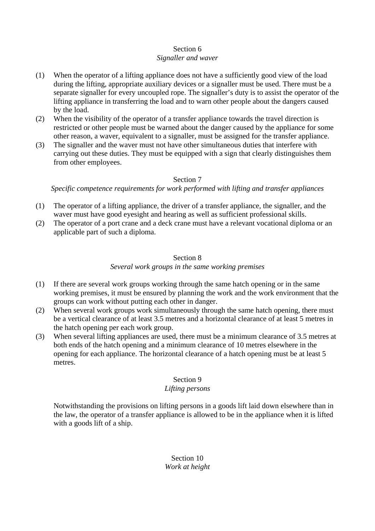# Section 6

# *Signaller and waver*

- (1) When the operator of a lifting appliance does not have a sufficiently good view of the load during the lifting, appropriate auxiliary devices or a signaller must be used. There must be a separate signaller for every uncoupled rope. The signaller's duty is to assist the operator of the lifting appliance in transferring the load and to warn other people about the dangers caused by the load.
- (2) When the visibility of the operator of a transfer appliance towards the travel direction is restricted or other people must be warned about the danger caused by the appliance for some other reason, a waver, equivalent to a signaller, must be assigned for the transfer appliance.
- (3) The signaller and the waver must not have other simultaneous duties that interfere with carrying out these duties. They must be equipped with a sign that clearly distinguishes them from other employees.

# Section 7

*Specific competence requirements for work performed with lifting and transfer appliances* 

- (1) The operator of a lifting appliance, the driver of a transfer appliance, the signaller, and the waver must have good eyesight and hearing as well as sufficient professional skills.
- (2) The operator of a port crane and a deck crane must have a relevant vocational diploma or an applicable part of such a diploma.

# Section 8

#### *Several work groups in the same working premises*

- (1) If there are several work groups working through the same hatch opening or in the same working premises, it must be ensured by planning the work and the work environment that the groups can work without putting each other in danger.
- (2) When several work groups work simultaneously through the same hatch opening, there must be a vertical clearance of at least 3.5 metres and a horizontal clearance of at least 5 metres in the hatch opening per each work group.
- (3) When several lifting appliances are used, there must be a minimum clearance of 3.5 metres at both ends of the hatch opening and a minimum clearance of 10 metres elsewhere in the opening for each appliance. The horizontal clearance of a hatch opening must be at least 5 metres.

# Section 9

# *Lifting persons*

 Notwithstanding the provisions on lifting persons in a goods lift laid down elsewhere than in the law, the operator of a transfer appliance is allowed to be in the appliance when it is lifted with a goods lift of a ship.

## Section 10 *Work at height*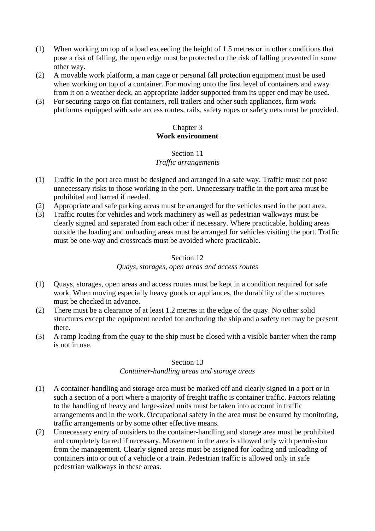- (1) When working on top of a load exceeding the height of 1.5 metres or in other conditions that pose a risk of falling, the open edge must be protected or the risk of falling prevented in some other way.
- (2) A movable work platform, a man cage or personal fall protection equipment must be used when working on top of a container. For moving onto the first level of containers and away from it on a weather deck, an appropriate ladder supported from its upper end may be used.
- (3) For securing cargo on flat containers, roll trailers and other such appliances, firm work platforms equipped with safe access routes, rails, safety ropes or safety nets must be provided.

## Chapter 3 **Work environment**

#### Section 11 *Traffic arrangements*

- (1) Traffic in the port area must be designed and arranged in a safe way. Traffic must not pose unnecessary risks to those working in the port. Unnecessary traffic in the port area must be prohibited and barred if needed.
- (2) Appropriate and safe parking areas must be arranged for the vehicles used in the port area.
- (3) Traffic routes for vehicles and work machinery as well as pedestrian walkways must be clearly signed and separated from each other if necessary. Where practicable, holding areas outside the loading and unloading areas must be arranged for vehicles visiting the port. Traffic must be one-way and crossroads must be avoided where practicable.

#### Section 12

#### *Quays, storages, open areas and access routes*

- (1) Quays, storages, open areas and access routes must be kept in a condition required for safe work. When moving especially heavy goods or appliances, the durability of the structures must be checked in advance.
- (2) There must be a clearance of at least 1.2 metres in the edge of the quay. No other solid structures except the equipment needed for anchoring the ship and a safety net may be present there.
- (3) A ramp leading from the quay to the ship must be closed with a visible barrier when the ramp is not in use.

#### Section 13

#### *Container-handling areas and storage areas*

- (1) A container-handling and storage area must be marked off and clearly signed in a port or in such a section of a port where a majority of freight traffic is container traffic. Factors relating to the handling of heavy and large-sized units must be taken into account in traffic arrangements and in the work. Occupational safety in the area must be ensured by monitoring, traffic arrangements or by some other effective means.
- (2) Unnecessary entry of outsiders to the container-handling and storage area must be prohibited and completely barred if necessary. Movement in the area is allowed only with permission from the management. Clearly signed areas must be assigned for loading and unloading of containers into or out of a vehicle or a train. Pedestrian traffic is allowed only in safe pedestrian walkways in these areas.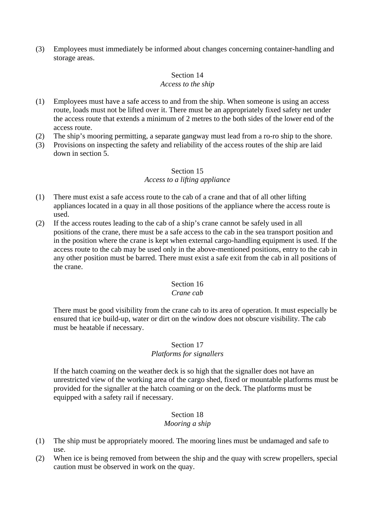(3) Employees must immediately be informed about changes concerning container-handling and storage areas.

#### Section 14

#### *Access to the ship*

- (1) Employees must have a safe access to and from the ship. When someone is using an access route, loads must not be lifted over it. There must be an appropriately fixed safety net under the access route that extends a minimum of 2 metres to the both sides of the lower end of the access route.
- (2) The ship's mooring permitting, a separate gangway must lead from a ro-ro ship to the shore.
- (3) Provisions on inspecting the safety and reliability of the access routes of the ship are laid down in section 5.

# Section 15

# *Access to a lifting appliance*

- (1) There must exist a safe access route to the cab of a crane and that of all other lifting appliances located in a quay in all those positions of the appliance where the access route is used.
- (2) If the access routes leading to the cab of a ship's crane cannot be safely used in all positions of the crane, there must be a safe access to the cab in the sea transport position and in the position where the crane is kept when external cargo-handling equipment is used. If the access route to the cab may be used only in the above-mentioned positions, entry to the cab in any other position must be barred. There must exist a safe exit from the cab in all positions of the crane.

# Section 16

#### *Crane cab*

 There must be good visibility from the crane cab to its area of operation. It must especially be ensured that ice build-up, water or dirt on the window does not obscure visibility. The cab must be heatable if necessary.

#### Section 17 *Platforms for signallers*

 If the hatch coaming on the weather deck is so high that the signaller does not have an unrestricted view of the working area of the cargo shed, fixed or mountable platforms must be provided for the signaller at the hatch coaming or on the deck. The platforms must be equipped with a safety rail if necessary.

#### Section 18

#### *Mooring a ship*

- (1) The ship must be appropriately moored. The mooring lines must be undamaged and safe to use.
- (2) When ice is being removed from between the ship and the quay with screw propellers, special caution must be observed in work on the quay.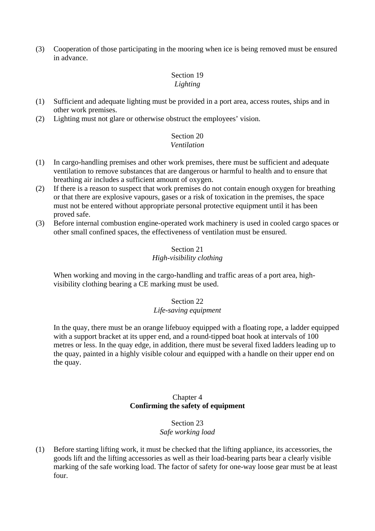(3) Cooperation of those participating in the mooring when ice is being removed must be ensured in advance.

#### Section 19 *Lighting*

- (1) Sufficient and adequate lighting must be provided in a port area, access routes, ships and in other work premises.
- (2) Lighting must not glare or otherwise obstruct the employees' vision.

#### Section 20 *Ventilation*

- (1) In cargo-handling premises and other work premises, there must be sufficient and adequate ventilation to remove substances that are dangerous or harmful to health and to ensure that breathing air includes a sufficient amount of oxygen.
- (2) If there is a reason to suspect that work premises do not contain enough oxygen for breathing or that there are explosive vapours, gases or a risk of toxication in the premises, the space must not be entered without appropriate personal protective equipment until it has been proved safe.
- (3) Before internal combustion engine-operated work machinery is used in cooled cargo spaces or other small confined spaces, the effectiveness of ventilation must be ensured.

## Section 21 *High-visibility clothing*

 When working and moving in the cargo-handling and traffic areas of a port area, high visibility clothing bearing a CE marking must be used.

#### Section 22 *Life-saving equipment*

 In the quay, there must be an orange lifebuoy equipped with a floating rope, a ladder equipped with a support bracket at its upper end, and a round-tipped boat hook at intervals of 100 metres or less. In the quay edge, in addition, there must be several fixed ladders leading up to the quay, painted in a highly visible colour and equipped with a handle on their upper end on the quay.

# Chapter 4 **Confirming the safety of equipment**

## Section 23 *Safe working load*

(1) Before starting lifting work, it must be checked that the lifting appliance, its accessories, the goods lift and the lifting accessories as well as their load-bearing parts bear a clearly visible marking of the safe working load. The factor of safety for one-way loose gear must be at least four.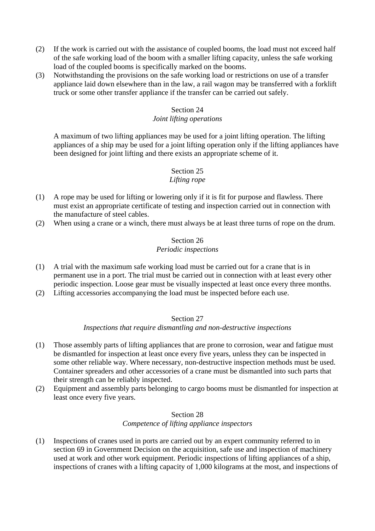- (2) If the work is carried out with the assistance of coupled booms, the load must not exceed half of the safe working load of the boom with a smaller lifting capacity, unless the safe working load of the coupled booms is specifically marked on the booms.
- (3) Notwithstanding the provisions on the safe working load or restrictions on use of a transfer appliance laid down elsewhere than in the law, a rail wagon may be transferred with a forklift truck or some other transfer appliance if the transfer can be carried out safely.

# Section 24

# *Joint lifting operations*

 A maximum of two lifting appliances may be used for a joint lifting operation. The lifting appliances of a ship may be used for a joint lifting operation only if the lifting appliances have been designed for joint lifting and there exists an appropriate scheme of it.

# Section 25

# *Lifting rope*

- (1) A rope may be used for lifting or lowering only if it is fit for purpose and flawless. There must exist an appropriate certificate of testing and inspection carried out in connection with the manufacture of steel cables.
- (2) When using a crane or a winch, there must always be at least three turns of rope on the drum.

#### Section 26 *Periodic inspections*

- (1) A trial with the maximum safe working load must be carried out for a crane that is in permanent use in a port. The trial must be carried out in connection with at least every other periodic inspection. Loose gear must be visually inspected at least once every three months.
- (2) Lifting accessories accompanying the load must be inspected before each use.

# Section 27

# *Inspections that require dismantling and non-destructive inspections*

- (1) Those assembly parts of lifting appliances that are prone to corrosion, wear and fatigue must be dismantled for inspection at least once every five years, unless they can be inspected in some other reliable way. Where necessary, non-destructive inspection methods must be used. Container spreaders and other accessories of a crane must be dismantled into such parts that their strength can be reliably inspected.
- (2) Equipment and assembly parts belonging to cargo booms must be dismantled for inspection at least once every five years.

#### Section 28 *Competence of lifting appliance inspectors*

(1) Inspections of cranes used in ports are carried out by an expert community referred to in section 69 in Government Decision on the acquisition, safe use and inspection of machinery used at work and other work equipment. Periodic inspections of lifting appliances of a ship, inspections of cranes with a lifting capacity of 1,000 kilograms at the most, and inspections of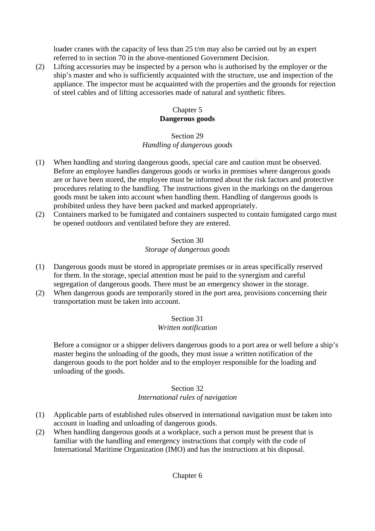loader cranes with the capacity of less than 25 t/m may also be carried out by an expert referred to in section 70 in the above-mentioned Government Decision.

(2) Lifting accessories may be inspected by a person who is authorised by the employer or the ship's master and who is sufficiently acquainted with the structure, use and inspection of the appliance. The inspector must be acquainted with the properties and the grounds for rejection of steel cables and of lifting accessories made of natural and synthetic fibres.

# Chapter 5 **Dangerous goods**

# Section 29

# *Handling of dangerous goods*

- (1) When handling and storing dangerous goods, special care and caution must be observed. Before an employee handles dangerous goods or works in premises where dangerous goods are or have been stored, the employee must be informed about the risk factors and protective procedures relating to the handling. The instructions given in the markings on the dangerous goods must be taken into account when handling them. Handling of dangerous goods is prohibited unless they have been packed and marked appropriately.
- (2) Containers marked to be fumigated and containers suspected to contain fumigated cargo must be opened outdoors and ventilated before they are entered.

# Section 30

# *Storage of dangerous goods*

- (1) Dangerous goods must be stored in appropriate premises or in areas specifically reserved for them. In the storage, special attention must be paid to the synergism and careful segregation of dangerous goods. There must be an emergency shower in the storage.
- (2) When dangerous goods are temporarily stored in the port area, provisions concerning their transportation must be taken into account.

#### Section 31 *Written notification*

 Before a consignor or a shipper delivers dangerous goods to a port area or well before a ship's master begins the unloading of the goods, they must issue a written notification of the dangerous goods to the port holder and to the employer responsible for the loading and unloading of the goods.

# Section 32 *International rules of navigation*

- (1) Applicable parts of established rules observed in international navigation must be taken into account in loading and unloading of dangerous goods.
- (2) When handling dangerous goods at a workplace, such a person must be present that is familiar with the handling and emergency instructions that comply with the code of International Maritime Organization (IMO) and has the instructions at his disposal.